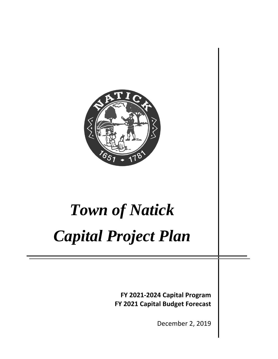

# *Town of Natick Capital Project Plan*

**FY 2021-2024 Capital Program FY 2021 Capital Budget Forecast** 

December 2, 2019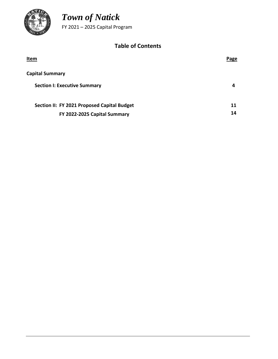

FY 2021 – 2025 Capital Program

#### **Table of Contents**

| Item                                        | <b>Page</b> |
|---------------------------------------------|-------------|
| <b>Capital Summary</b>                      |             |
| <b>Section I: Executive Summary</b>         | 4           |
| Section II: FY 2021 Proposed Capital Budget | 11          |
| FY 2022-2025 Capital Summary                | 14          |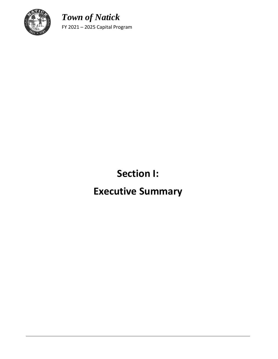

# **Section I:**

# **Executive Summary**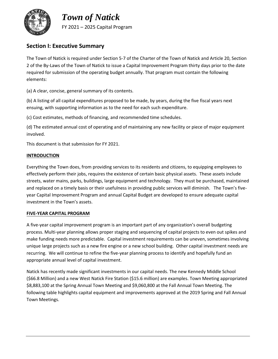

#### **Section I: Executive Summary**

The Town of Natick is required under Section 5-7 of the Charter of the Town of Natick and Article 20, Section 2 of the By-Laws of the Town of Natick to issue a Capital Improvement Program thirty days prior to the date required for submission of the operating budget annually. That program must contain the following elements:

(a) A clear, concise, general summary of its contents.

(b) A listing of all capital expenditures proposed to be made, by years, during the five fiscal years next ensuing, with supporting information as to the need for each such expenditure.

(c) Cost estimates, methods of financing, and recommended time schedules.

(d) The estimated annual cost of operating and of maintaining any new facility or piece of major equipment involved.

This document is that submission for FY 2021.

#### **INTRODUCTION**

Everything the Town does, from providing services to its residents and citizens, to equipping employees to effectively perform their jobs, requires the existence of certain basic physical assets. These assets include streets, water mains, parks, buildings, large equipment and technology. They must be purchased, maintained and replaced on a timely basis or their usefulness in providing public services will diminish. The Town's fiveyear Capital Improvement Program and annual Capital Budget are developed to ensure adequate capital investment in the Town's assets.

#### **FIVE-YEAR CAPITAL PROGRAM**

A five-year capital improvement program is an important part of any organization's overall budgeting process. Multi-year planning allows proper staging and sequencing of capital projects to even out spikes and make funding needs more predictable. Capital investment requirements can be uneven, sometimes involving unique large projects such as a new fire engine or a new school building. Other capital investment needs are recurring. We will continue to refine the five-year planning process to identify and hopefully fund an appropriate annual level of capital investment.

Natick has recently made significant investments in our capital needs. The new Kennedy Middle School (\$66.8 Million) and a new West Natick Fire Station (\$15.6 million) are examples. Town Meeting appropriated \$8,883,100 at the Spring Annual Town Meeting and \$9,060,800 at the Fall Annual Town Meeting. The following table highlights capital equipment and improvements approved at the 2019 Spring and Fall Annual Town Meetings.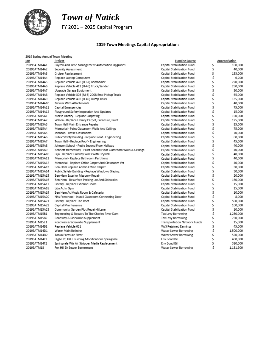

FY 2021 – 2025 Capital Program

#### **2019 Town Meetings Capital Appropriations**

| 2019 Spring Annual Town Meeting |                                                                  |                                     |    |               |
|---------------------------------|------------------------------------------------------------------|-------------------------------------|----|---------------|
| Id#                             | Project                                                          | <b>Funding Source</b>               |    | Appropriation |
| 2019SATM14A1                    | Payroll And Time Management Automation Upgrades                  | Capital Stabilization Fund          | \$ | 100,000       |
| 2019SATM14A2                    | Security Assessment                                              | Capital Stabilization Fund          | s  | 40,000        |
| 2019SATM14A3                    | <b>Cruiser Replacement</b>                                       | Capital Stabilization Fund          | \$ | 153,000       |
| 2019SATM14A4                    | Replace Laptop Computers                                         | Capital Stabilization Fund          | \$ | 6,200         |
| 2019SATM14A5                    | Replace Vehicle 428 (H-67) Bombadier                             | Capital Stabilization Fund          | \$ | 220,000       |
| 2019SATM14A6                    | Replace Vehicle 411 (H-46) Truck/Sander                          | Capital Stabilization Fund          | \$ | 250,000       |
| 2019SATM14A7                    | Upgrade Garage Equipment                                         | Capital Stabilization Fund          | Ś  | 30,000        |
| 2019SATM14A8                    | Replace Vehicle 303 (M-3) 2008 Emd Pickup Truck                  | Capital Stabilization Fund          | \$ | 65,000        |
| 2019SATM14A9                    | Replace Vehicle 402 (H-40) Dump Truck                            | Capital Stabilization Fund          | \$ | 135,000       |
| 2019SATM14A10                   | Mower With Attachments                                           | Capital Stabilization Fund          | Ś  | 40,000        |
| 2019SATM14A11                   | <b>Capital Emergencies</b>                                       | Capital Stabilization Fund          | \$ | 75,000        |
| 2019SATM14A12                   | Playground Safety Inspection And Updates                         | Capital Stabilization Fund          | \$ | 15,000        |
| 2019SATM15A1                    | Morse Library - Replace Carpeting                                | Capital Stabilization Fund          | \$ | 150,000       |
| 2019SATM15A2                    | Wilson - Replace Library Carpet, Furniture, Paint                | Capital Stabilization Fund          | \$ | 125,000       |
| 2019SATM15A3                    | Town Hall Main Entrance Repairs                                  | Capital Stabilization Fund          | \$ | 85,000        |
| 2019SATM15A4                    | Memorial - Paint Classroom Walls And Ceilings                    | Capital Stabilization Fund          | \$ | 75,000        |
| 2019SATM15A5                    | Johnson - Retile Classrooms                                      | Capital Stabilization Fund          | Ś  | 70,000        |
| 2019SATM15A6                    | Public Safety Building - Replace Roof - Engineering              | Capital Stabilization Fund          | Ś  | 60,000        |
| 2019SATM15A7                    | Town Hall - Replace Roof - Engineering                           | Capital Stabilization Fund          | Ś  | 45,000        |
| 2019SATM15A8                    | Johnson School - Retile Second Floor Hallway                     | Capital Stabilization Fund          | \$ | 40,000        |
| 2019SATM15A9                    | Bennett Hemenway - Paint Second Floor Classroom Walls & Ceilings | Capital Stabilization Fund          | Ś  | 40,000        |
| 2019SATM15A10                   | Lilja - Replace Hallway Walls With Drywall                       | Capital Stabilization Fund          | Ś  | 40,000        |
| 2019SATM15A11                   | Memorial - Replace Bathroom Partitions                           | Capital Stabilization Fund          | \$ | 40,000        |
| 2019SATM15A12                   | Memorial - Replace Office Carpet And Classroom Vct               | Capital Stabilization Fund          | Ś  | 40,000        |
| 2019SATM15A13                   | Ben-Hem Replace Admin Office Carpet                              | Capital Stabilization Fund          | \$ | 30,000        |
| 2019SATM15A14                   | Public Safety Building - Replace Windows Glazing                 | Capital Stabilization Fund          | \$ | 30,000        |
| 2019SATM15A15                   | Ben-Hem Exterior Masonry Repair                                  | Capital Stabilization Fund          | Ś  | 20,000        |
| 2019SATM15A16                   | Ben Hem - Resurface Parking Lot And Sidewalks                    | Capital Stabilization Fund          | \$ | 160,000       |
| 2019SATM15A17                   | Library - Replace Exterior Doors                                 | Capital Stabilization Fund          | \$ | 15,000        |
| 2019SATM15A18                   | Lilja Ac In Gym                                                  | Capital Stabilization Fund          | Ś  | 15,000        |
| 2019SATM15A19                   | Ben Hem Ac Music Room & Cafeteria                                | Capital Stabilization Fund          | \$ | 10,000        |
| 2019SATM15A20                   | Nhs Preschool - Install Classroom Connecting Door                | Capital Stabilization Fund          | \$ | 8,000         |
| 2019SATM15A21                   | Library - Replace The Roof                                       | Capital Stabilization Fund          | \$ | 500,000       |
| 2019SATM15A22                   | Capital Maintenance                                              | Capital Stabilization Fund          | \$ | 100,000       |
| 2019SATM15A23                   | Community Garden Plot Repair-Jj Lane                             | Capital Stabilization Fund          | Ś  | 10,000        |
| 2019SATM15B1                    | Engineering & Repairs To The Charles River Dam                   | Tax Levy Borrowing                  | \$ | 1,250,000     |
| 2019SATM15B2                    | Roadway & Sidewalks Supplement                                   | Tax Levy Borrowing                  | \$ | 750,000       |
| 2019SATM15E1                    | Roadway & Sidewalks Supplement                                   | <b>Transportation Network Funds</b> | \$ | 15,000        |
| 2019SATM14B1                    | Replace Vehicle 631                                              | W/S Retained Earnings               | Ś  | 45,000        |
| 2019SATM14D1                    | Water Main Relining                                              | Water Sewer Borrowing               | \$ | 1,500,000     |
| 2019SATM14D2                    | <b>Tonka Pressure Filter</b>                                     | Water Sewer Borrowing               | \$ | 520,000       |
| 2019SATM14F1                    | High Lift, H&T Building Modifications Springvale                 | Env Bond Bill                       | \$ | 400,000       |
| 2019SATM14F2                    | Springvale Wtr Air Stripper Media Replacement                    | Env Bond Bill                       | \$ | 380,000       |
| 2019SATM18                      | Fox Hill Dr Sewer Betterment                                     | Water Sewer Borrowing               |    | 1.131.900     |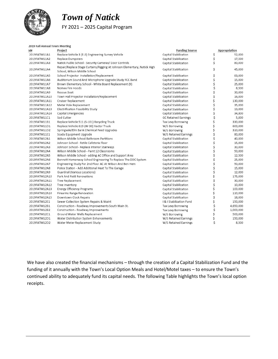

#### FY 2021 – 2025 Capital Program

| 2019 Fall Annual Town Meeting |                                                                                                          |                          |                 |
|-------------------------------|----------------------------------------------------------------------------------------------------------|--------------------------|-----------------|
| Id#                           | Project                                                                                                  | <b>Funding Source</b>    | Appropriation   |
| 2019FATM11A1                  | Replace Vehicle 3 (E-2) Engineering Survey Vehicle                                                       | Capital Stabilization    | \$<br>52,000    |
| 2019FATM11A2                  | Replace Dumpsters                                                                                        | Capital Stabilization    | \$<br>17,500    |
| 2019FATM11A3                  | Natick Public School - Security Cameras/ Door Controls                                                   | Capital Stabilization    | \$<br>80,000    |
| 2019FATM11A4                  | Repair/Replace Stage Curtains/Rigging At Johnson Elementary, Natick High<br>School, Wilson Middle School | Capital Stabilization    | \$<br>45,000    |
| 2019FATM11A5                  | School Projector Installation/Replacement                                                                | Capital Stabilization    | \$<br>83,000    |
| 2019FATM11A6                  | Auditorium Sound And Microphone Upgrade Study FCC Band                                                   | Capital Stabilization    | \$<br>15,000    |
| 2019FATM11A7                  | Brown Elementary School - White Board Replacement (9)                                                    | Capital Stabilization    | \$<br>25,000    |
| 2019FATM11A8                  | Nomex Fire Hoods                                                                                         | Capital Stabilization    | \$<br>8,500     |
| 2019FATM11A9                  | Rescue Boat                                                                                              | Capital Stabilization    | \$<br>30,000    |
| 2019FATM11A10                 | Town Hall Projector Installation/Replacement                                                             | Capital Stabilization    | \$<br>16,000    |
| 2019FATM11A11                 | Cruiser Replacement                                                                                      | Capital Stabilization    | \$<br>130,000   |
| 2019FATM11A12                 | Meter Pole Replacement                                                                                   | Capital Stabilization    | \$<br>35,000    |
| 2019FATM11A13                 | Electrification Feasibility Study                                                                        | Capital Stabilization    | \$<br>13,000    |
| 2019FATM11A14                 | Capital Emergencies                                                                                      | Capital Stabilization    | \$<br>34,800    |
| 2019FATM11C1                  | Sod Cutter                                                                                               | GC Retained Earnings     | \$<br>5,000     |
| 2019FATM11B1                  | Replace Vehicle 511 (S-101) Recycling Truck                                                              | Tax Levy Borrowing       | \$<br>330,000   |
| 2019FATM11D1                  | Replace Vehicle 619 (W-30) Vactor Truck                                                                  | W/S Borrowing            | \$<br>600,000   |
| 2019FATM11D2                  | Springvale/Elm Bank Chemical Feed Upgrades                                                               | W/S Borrowing            | \$<br>310,000   |
| 2019FATM11E1                  | Scada Equipment Upgrade                                                                                  | W/S Retained Earnings    | \$<br>80,000    |
| 2019FATM12A1                  | Wilson Middle School Bathroom Partitions                                                                 | Capital Stabilization    | \$<br>40,000    |
| 2019FATM12A2                  | Johnson School - Retile Cafeteria Floor                                                                  | Capital Stabilization    | \$<br>15,000    |
| 2019FATM12A3                  | Johnson School - Replace Interior Stairways                                                              | Capital Stabilization    | \$<br>30,000    |
| 2019FATM12A4                  | Wilson Middle School - Paint 12 Classrooms                                                               | Capital Stabilization    | \$<br>50,000    |
| 2019FATM12A5                  | Wilson Middle School - adding AC Office and Support Area                                                 | Capital Stabilization    | \$<br>12,500    |
| 2019FATM12A6                  | Bennett Hemenway School Engineering To Replace The DDC System                                            | Capital Stabilization    | \$<br>25,000    |
| 2019FATM12A7                  | Engineering Study For 2nd Floor AC At Wilson And Ben Hem                                                 | Capital Stabilization    | \$<br>50,000    |
| 2019FATM12A8                  | Police Station - Add Additional Heat To The Garage                                                       | Capital Stabilization    | \$<br>15,000    |
| 2019FATM12A9                  | Guardrail (Various Locations)                                                                            | Capital Stabilization    | \$<br>12,000    |
| 2019FATM12A10                 | Park And Field Renovations                                                                               | Capital Stabilization    | \$<br>175,000   |
| 2019FATM12A11                 | Tree Replacement                                                                                         | Capital Stabilization    | \$<br>30,000    |
| 2019FATM12A12                 | Tree Inventory                                                                                           | Capital Stabilization    | \$<br>10,000    |
| 2019FATM12A13                 | <b>Energy Efficiency Programs</b>                                                                        | Capital Stabilization    | \$<br>100,000   |
| 2019FATM12A14                 | Firearms Range Renovation                                                                                | Capital Stabilization    | \$<br>110,000   |
| 2019FATM12A15                 | Downtown Clock Repairs                                                                                   | Capital Stabilization    | \$<br>18,000    |
| 2019FATM12E1                  | Sewer Collection System Repairs & Maint                                                                  | I & I Stabilization Fund | \$<br>150,000   |
| 2019FATM12B1                  | Construction - Roadway Improvements South Main St.                                                       | Tax Levy Borrowing       | \$<br>4,650,000 |
| 2019FATM12B2                  | Construction - Roadway Improvements                                                                      | Tax Levy Borrowing       | \$<br>1,000,000 |
| 2019FATM12C1                  | Ground Water Wells Replacement                                                                           | W/S Borrowing            | \$<br>500,000   |
| 2019FATM12D1                  | Water Distribution System Enhancements                                                                   | W/S Retained Earnings    | \$<br>150,000   |
| 2019FATM12D2                  | Water Meter Replacement Study                                                                            | W/S Retained Earnings    | \$<br>8,500     |

We have also created the financial mechanisms – through the creation of a Capital Stabilization Fund and the funding of it annually with the Town's Local Option Meals and Hotel/Motel taxes – to ensure the Town's continued ability to adequately fund its capital needs. The following Table highlights the Town's local option receipts.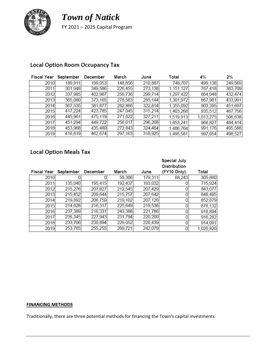

| Fiscal Year | September | December | March   | June    | Total     | 4%        | 2%      |
|-------------|-----------|----------|---------|---------|-----------|-----------|---------|
| 2010        | 189,911   | 199,053  | 148,856 | 210,887 | 748,707   | 499,138   | 249,569 |
| 2011        | 301,948   | 349,586  | 226,455 | 273,138 | 1,151,127 | 767,418   | 383,709 |
| 2012        | 337,985   | 402,987  | 256,736 | 299,714 | 1,297,422 | 864,948   | 432,474 |
| 2013        | 365,080   | 373,165  | 278,583 | 285,144 | 1,301,972 | 867,981   | 433,991 |
| 2014        | 367,535   | 381,877  | 282,866 | 322,814 | 1,355,092 | 903,395   | 451,697 |
| 2015        | 417,224   | 423,785  | 247,045 | 315,214 | 1,403,268 | 935,512   | 467,756 |
| 2016        | 445,961   | 475,119  | 271,622 | 327,211 | 1,519,913 | 1,013,275 | 506,638 |
| 2017        | 451,294   | 449,722  | 256,017 | 296,208 | 1,453,241 | 968,827   | 484,414 |
| 2018        | 453,968   | 435,489  | 272,843 | 324,464 | 1,486,764 | 991,176   | 495,588 |
| 2019        | 416,819   | 462,674  | 297,163 | 318,925 | 1,495,581 | 997,054   | 498,527 |

#### **Local Option Room Occupancy Tax**

#### **Local Option Meals Tax**

|             |           |          |         |         | Special July<br>Distribution |           |
|-------------|-----------|----------|---------|---------|------------------------------|-----------|
| Fiscal Year | September | December | March   | June    | (FY10 Only)                  | Total     |
| 2010        |           |          | 58,306  | 179,311 | 68,243                       | 305,860   |
| 2011        | 135,040   | 195,415  | 192,437 | 193,032 |                              | 715,924   |
| 2012        | 215,276   | 207,827  | 212,545 | 207,429 | 0                            | 843,077   |
| 2013        | 215,452   | 209,644  | 215,757 | 207,642 | 0                            | 848,495   |
| 2014        | 219,892   | 206,759  | 219,102 | 207,126 | 0                            | 852,879   |
| 2015        | 214,628   | 216,317  | 225,649 | 219,538 | 0                            | 876,132   |
| 2016        | 237,389   | 216,331  | 243,388 | 221,786 | 0                            | 918,894   |
| 2017        | 236,345   | 227,943  | 231,794 | 220,200 | 0                            | 916,282   |
| 2018        | 233,706   | 230,894  | 229,052 | 220,439 | 0                            | 914,091   |
| 2019        | 253,765   | 255,255  | 269,721 | 242,079 | 0                            | 1,020,820 |

#### **FINANCING METHODS**

Traditionally, there are three potential methods for financing the Town's capital investments: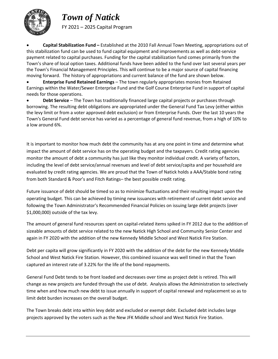

FY 2021 – 2025 Capital Program

x **Capital Stabilization Fund –** Established at the 2010 Fall Annual Town Meeting, appropriations out of this stabilization fund can be used to fund capital equipment and improvements as well as debt-service payment related to capital purchases. Funding for the capital stabilization fund comes primarily from the Town's share of local option taxes. Additional funds have been added to the fund over last several years per the Town's Financial Management Principles. This will continue to be a major source of capital financing moving forward. The history of appropriations and current balance of the fund are shown below.

**Enterprise Fund Retained Earnings** – The town regularly appropriates monies from Retained Earnings within the Water/Sewer Enterprise Fund and the Golf Course Enterprise Fund in support of capital needs for those operations.

**Debt Service** – The Town has traditionally financed large capital projects or purchases through borrowing. The resulting debt obligations are appropriated under the General Fund Tax Levy (either within the levy limit or from a voter approved debt exclusion) or from Enterprise Funds. Over the last 10 years the Town's General Fund debt service has varied as a percentage of general fund revenue, from a high of 10% to a low around 6%.

It is important to monitor how much debt the community has at any one point in time and determine what impact the amount of debt service has on the operating budget and the taxpayers. Credit rating agencies monitor the amount of debt a community has just like they monitor individual credit. A variety of factors, including the level of debt service/annual revenues and level of debt service/capita and per household are evaluated by credit rating agencies. We are proud that the Town of Natick holds a AAA/Stable bond rating from both Standard & Poor's and Fitch Ratings– the best possible credit rating.

Future issuance of debt should be timed so as to minimize fluctuations and their resulting impact upon the operating budget. This can be achieved by timing new issuances with retirement of current debt service and following the Town Administrator's Recommended Financial Policies on issuing large debt projects (over \$1,000,000) outside of the tax levy.

The amount of general fund resources spent on capital-related items spiked in FY 2012 due to the addition of sizeable amounts of debt service related to the new Natick High School and Community Senior Center and again in FY 2020 with the addition of the new Kennedy Middle School and West Natick Fire Station.

Debt per capita will grow significantly in FY 2020 with the addition of the debt for the new Kennedy Middle School and West Natick Fire Station. However, this combined issuance was well timed in that the Town captured an interest rate of 3.22% for the life of the bond repayments.

General Fund Debt tends to be front loaded and decreases over time as project debt is retired. This will change as new projects are funded through the use of debt. Analysis allows the Administration to selectively time when and how much new debt to issue annually in support of capital renewal and replacement so as to limit debt burden increases on the overall budget.

The Town breaks debt into within levy debt and excluded or exempt debt. Excluded debt includes large projects approved by the voters such as the New JFK Middle school and West Natick Fire Station.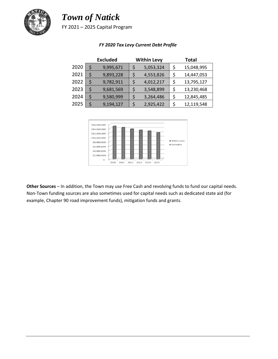

FY 2021 – 2025 Capital Program

|      | <b>Excluded</b> |           | <b>Within Levy</b> |           |    | <b>Total</b> |  |  |
|------|-----------------|-----------|--------------------|-----------|----|--------------|--|--|
| 2020 | \$              | 9,995,671 | Ş                  | 5,053,324 | \$ | 15,048,995   |  |  |
| 2021 | \$              | 9,893,228 | \$                 | 4,553,826 | \$ | 14,447,053   |  |  |
| 2022 | \$              | 9,782,911 |                    | 4,012,217 | \$ | 13,795,127   |  |  |
| 2023 | \$              | 9,681,569 | \$                 | 3,548,899 | \$ | 13,230,468   |  |  |
| 2024 | \$              | 9,580,999 | \$                 | 3,264,486 | \$ | 12,845,485   |  |  |
| 2025 | $\zeta$         | 9,194,127 |                    | 2,925,422 | \$ | 12,119,548   |  |  |

#### *FY 2020 Tax Levy Current Debt Profile*



**Other Sources** – In addition, the Town may use Free Cash and revolving funds to fund our capital needs. Non-Town funding sources are also sometimes used for capital needs such as dedicated state aid (for example, Chapter 90 road improvement funds), mitigation funds and grants.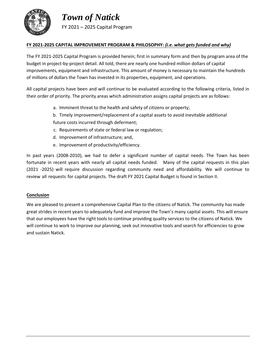

#### FY 2021-2025 CAPITAL IMPROVEMENT PROGRAM & PHILOSOPHY: *(i.e. what gets funded and why)*

The FY 2021-2025 Capital Program is provided herein; first in summary form and then by program area of the budget in project-by-project detail. All told, there are nearly one hundred million dollars of capital improvements, equipment and infrastructure. This amount of money is necessary to maintain the hundreds of millions of dollars the Town has invested in its properties, equipment, and operations.

All capital projects have been and will continue to be evaluated according to the following criteria, listed in their order of priority. The priority areas which administration assigns capital projects are as follows:

- a. Imminent threat to the health and safety of citizens or property;
- b. Timely improvement/replacement of a capital assets to avoid inevitable additional future costs incurred through deferment;
- c. Requirements of state or federal law or regulation;
- d. Improvement of infrastructure; and,
- e. Improvement of productivity/efficiency.

In past years (2008-2010), we had to defer a significant number of capital needs. The Town has been fortunate in recent years with nearly all capital needs funded. Many of the capital requests in this plan (2021 -2025) will require discussion regarding community need and affordability. We will continue to review all requests for capital projects. The draft FY 2021 Capital Budget is found in Section II.

#### **Conclusion**

We are pleased to present a comprehensive Capital Plan to the citizens of Natick. The community has made great strides in recent years to adequately fund and improve the Town's many capital assets. This will ensure that our employees have the right tools to continue providing quality services to the citizens of Natick. We will continue to work to improve our planning, seek out innovative tools and search for efficiencies to grow and sustain Natick.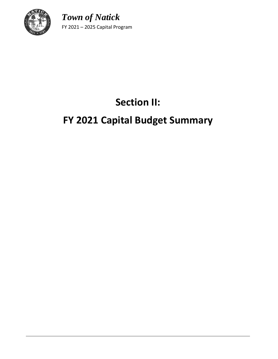

# **Section II:**

# **FY 2021 Capital Budget Summary**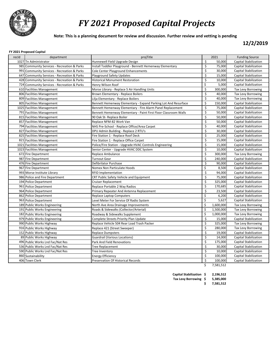

# *FY 2021 Proposed Capital Projects*

**Note: This is a planning document for review and discussion. Further review and vetting is pending**

**12/2/2019**

#### **FY 2021 Proposed Capital**

| recId | department                                  | projTitle                                                       |                  | 2021      | <b>Funding Source</b>        |
|-------|---------------------------------------------|-----------------------------------------------------------------|------------------|-----------|------------------------------|
|       | 1027 Tn Administrator                       | Hunnewell Field Upgrade Design                                  | \$               | 50,000    | <b>Capital Stabilization</b> |
|       | 985 Community Services - Recreation & Parks | Install Toddler Playground - Bennett Hemenway Elementary        | \$               | 75,000    | <b>Capital Stabilization</b> |
|       | 991 Community Services - Recreation & Parks | Cole Center Playground Enhancements                             | \$               | 30,000    | Capital Stabilization        |
|       | 647 Community Services - Recreation & Parks | Playground Safety Updates                                       | \$               | 15,000    | Capital Stabilization        |
|       | 428 Community Services - Recreation & Parks | <b>Historical Monument Restoration</b>                          | \$               | 10,000    | Capital Stabilization        |
|       | 724 Community Services - Recreation & Parks | Henry Wilson Roof                                               | \$               | 5,000     | <b>Capital Stabilization</b> |
|       | 610 Facilities Management                   | Morse Library - Replace 5 Air Handling Units                    | \$               | 300,000   | Tax Levy Borrowing           |
|       | 806 Facilities Management                   | Brown Elementary - Replace Boilers                              | $\zeta$          | 40,000    | Tax Levy Borrowing           |
|       | 809 Facilities Management                   | Lilja Elementary - Replace Boilers                              | \$               | 40,000    | Tax Levy Borrowing           |
|       | 805 Facilities Management                   | Bennett Hemenway Elementary - Expand Parking Lot And Resurface  | \$               | 150,000   | <b>Capital Stabilization</b> |
|       | 1025 Facilities Management                  | Bennett Hemenway Elementary - Fire Alarm Panel Replacement      | \$               | 75,000    | <b>Capital Stabilization</b> |
|       | 791 Facilities Management                   | Bennett Hemenway Elementary - Paint First Floor Classroom Walls | \$               | 50,000    | Capital Stabilization        |
|       | 815 Facilities Management                   | 90 Oak St-Replace Boiler                                        | \$               | 50,000    | Capital Stabilization        |
|       | 857 Facilities Management                   | Replace NFM-82 Work Van                                         | \$               | 50,000    | <b>Capital Stabilization</b> |
|       | 794 Facilities Management                   | NHS Pre-School - Replace Office/Area Carpet                     | \$               | 40,000    | <b>Capital Stabilization</b> |
|       | 827 Facilities Management                   | DPU Admin Building - Replace 2 RTU's                            | $\zeta$          | 30,000    | <b>Capital Stabilization</b> |
|       | 825 Facilities Management                   | Fire Station 1 - Replace Roof Deck                              | $\zeta$          | 25,000    | Capital Stabilization        |
|       | 821 Facilities Management                   | Fire Station 1 - Replace Office Carpet                          | \$               | 15,000    | <b>Capital Stabilization</b> |
|       | 1021 Facilities Management                  | Police/Fire Station - Upgrade HVAC Controls Engineering         | \$               | 15,000    | <b>Capital Stabilization</b> |
|       | 1023 Facilities Management                  | Senior Center - Upgrade HVAC DDC System                         | $\zeta$          | 10,000    | Capital Stabilization        |
|       | 672 Fire Department                         | Replace Ambulance                                               | \$               | 300,000   | Tax Levy Borrowing           |
|       | 987 Fire Department                         | <b>Turnout Gear</b>                                             | \$               | 240,000   | <b>Capital Stabilization</b> |
|       | 476 Fire Department                         | Defibrilator Purchase                                           | \$               | 90,000    | <b>Capital Stabilization</b> |
|       | 967 Fire Department                         | Nomex Non Particulate Hoods                                     | \$               | 8,500     | <b>Capital Stabilization</b> |
|       | 993 Morse Institute Library                 | <b>RFID Implementation</b>                                      | \$               | 94,000    | <b>Capital Stabilization</b> |
|       | 986 Police and Fire Department              | CRT Public Safety Vehicle and Equipment                         | \$               | 75,000    | Capital Stabilization        |
|       | 194 Police Department                       | <b>Cruiser Replacement</b>                                      | \$               | 325,000   | Capital Stabilization        |
|       | 961 Police Department                       | Replace Portable 2 Way Radios                                   | \$               | 170,685   | <b>Capital Stabilization</b> |
|       | 964 Police Department                       | Primary Repeater And Antenna Replacement                        | \$               | 23,500    | Capital Stabilization        |
|       | 862 Police Department                       | <b>Replace Laptop Computers</b>                                 | \$               | 6,200     | <b>Capital Stabilization</b> |
|       | 963 Police Department                       | Level Meter For Service Of Radio System                         | $\overline{\xi}$ | 5,627     | Capital Stabilization        |
|       | 189 Public Works Engineering                | North Ave Area Drainage Improvements                            | \$               | 1,600,000 | Tax Levy Borrowing           |
|       | 191 Public Works Engineering                | Roads & Sidewalks (Collector/Arterial)                          | \$               | 1,500,000 | <b>Tax Levy Borrowing</b>    |
|       | 182 Public Works Engineering                | Roadway & Sidewalks Supplement                                  | \$               | 1,000,000 | <b>Tax Levy Borrowing</b>    |
|       | 979 Public Works Engineering                | Complete Streets Priority Plan Update                           | \$               | 15,000    | <b>Capital Stabilization</b> |
|       | 990 Public Works Highway                    | Replace Vehicle 504 Rear Load Trash Packer                      | \$               | 325,000   | Tax Levy Borrowing           |
|       | 916 Public Works Highway                    | Replace 421 (Street Sweeper)                                    | \$               | 280,000   | Tax Levy Borrowing           |
|       | 152 Public Works Highway                    | <b>Replace Dumpsters</b>                                        | \$               | 19,000    | <b>Capital Stabilization</b> |
|       | 89 Public Works Highway                     | <b>Guardrail (Various Locations)</b>                            | \$               | 14,000    | <b>Capital Stabilization</b> |
|       | 496 Public Works Lnd Fac/Nat Res            | Park And Field Renovations                                      | \$               | 175,000   | Capital Stabilization        |
|       | 536 Public Works Lnd Fac/Nat Res            | <b>Tree Replacement</b>                                         | \$               | 30,000    | Capital Stabilization        |
|       | 590 Public Works Lnd Fac/Nat Res            | <b>Tree Inventory</b>                                           | \$               | 10,000    | <b>Capital Stabilization</b> |
|       | 860 Sustainability                          | <b>Energy Efficiency</b>                                        | \$               | 100,000   | <b>Capital Stabilization</b> |
|       | 406 Town Clerk                              | <b>Preservation Of Historical Records</b>                       | \$               | 100,000   | <b>Capital Stabilization</b> |
|       |                                             |                                                                 | \$               | 7,581,512 |                              |

 **Capital Stabilization \$ 2,196,512 Tax Levy Borrowing \$ 5,385,000** 

 **\$ 7,581,512**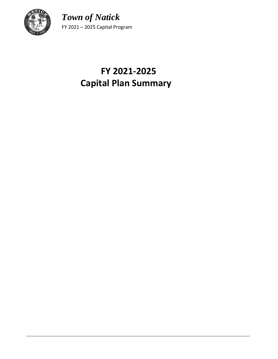

# **FY 2021-2025 Capital Plan Summary**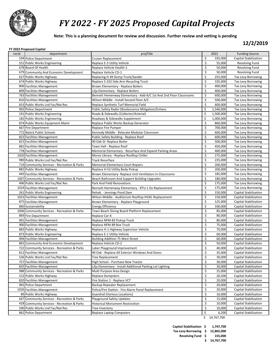

**Note: This is a planning document for review and discussion. Further review and vetting is pending**

**12/2/2019**

#### **FY 2022 Proposed Capital**

|       | FY ZUZZ Proposed Capital                     |                                                                    |         |           |                              |
|-------|----------------------------------------------|--------------------------------------------------------------------|---------|-----------|------------------------------|
| recid | department                                   | projTitle                                                          |         | 2022      | <b>Funding Source</b>        |
|       | 194 Police Department                        | <b>Cruiser Replacement</b>                                         | \$      | 335,000   | <b>Capital Stabilization</b> |
|       | 551 Public Works Engineering                 | Replace E-3 Utility Vehicle                                        | \$      | 55,000    | <b>Revolving Fund</b>        |
|       | 678 Board Of Health                          | Replace Vehicle Health-1                                           | \$      | 50,000    | <b>Revolving Fund</b>        |
|       | 679 Community And Economic Development       | Replace Vehicle CD-1                                               | \$      | 50,000    | <b>Revolving Fund</b>        |
|       | 627 Public Works Highway                     | Replacing H-49 Dump Truck/Sander                                   | \$      | 255,000   | <b>Tax Levy Borrowing</b>    |
|       | 674 Public Works Highway                     | Replace S-102 Side Arm Recycling Truck                             | \$      | 335,000   | Tax Levy Borrowing           |
|       | 806 Facilities Management                    | Brown Elementary - Replace Boilers                                 | \$      | 400,000   | <b>Tax Levy Borrowing</b>    |
|       | 809 Facilities Management                    | Lilja Elementary - Replace Boilers                                 | \$      | 400,000   | <b>Tax Levy Borrowing</b>    |
|       | 763 Facilities Management                    | Bennett Hemenway Elementary - Add A/C 1st And 2nd Floor Classrooms | \$      | 600,000   | <b>Tax Levy Borrowing</b>    |
|       | 810 Facilities Management                    | Wilson Middle - Install Second Floor A/C                           | \$      | 500,000   | Tax Levy Borrowing           |
|       | 653 Public Works Lnd Fac/Nat Res             | Replace Synthetic Turf Memorial Field                              | \$      | 600,000   | Tax Levy Borrowing           |
|       | 992 Police Department                        | Public Safety Radio Obsolescence Mitigation/Enhanc                 | \$      | 1,540,000 | Tax Levy Borrowing           |
|       | 191 Public Works Engineering                 | Roads & Sidewalks (Collector/Arterial)                             | \$      | 1,500,000 | <b>Tax Levy Borrowing</b>    |
|       | 182 Public Works Engineering                 | Roadway & Sidewalks Supplement                                     | \$      | 1,000,000 | Tax Levy Borrowing           |
|       | 874 Public Works Equipment Maint             | Replace Public Works Backup Generator                              | $\zeta$ | 860,000   | <b>Tax Levy Borrowing</b>    |
|       | 667 Fire Department                          | Replace Fire Pumper                                                | \$      | 700,000   | <b>Tax Levy Borrowing</b>    |
|       | 772 Natick Public Schools                    | Kennedy Middle - Relocate Modular Classroom                        | \$      | 600,000   | <b>Tax Levy Borrowing</b>    |
|       | 822 Facilities Management                    | Public Safety Building - Replace Roof                              | \$      | 600,000   | <b>Tax Levy Borrowing</b>    |
|       | 815 Facilities Management                    | 90 Oak St- Replace Boiler                                          | \$      | 500,000   | Tax Levy Borrowing           |
|       | 881 Facilities Management                    | Town Hall - Replace Roof                                           | \$      | 450,000   | Tax Levy Borrowing           |
|       | 778 Facilities Management                    | Memorial Elementary - Resurface And Expand Parking Areas           | \$      | 400.000   | <b>Tax Levy Borrowing</b>    |
|       | 1020 Facilities Management                   | Morse Library - Replace Rooftop Chiller                            | \$      | 275,000   | Tax Levy Borrowing           |
|       | 980 Public Works Lnd Fac/Nat Res             | <b>Track Resurface</b>                                             | \$      | 235,000   | <b>Tax Levy Borrowing</b>    |
|       | 719 Community Services - Recreation & Parks  | <b>Memorial Elementary Court Repairs</b>                           | \$      | 200,000   | <b>Tax Levy Borrowing</b>    |
|       | 882 Public Works Highway                     | Replace H-52 Utility Body Pickup                                   | \$      | 200,000   | <b>Tax Levy Borrowing</b>    |
|       | 445 Facilities Management                    | Brown Elementary- Replace Unit Ventilators In Classrooms           | \$      | 185,000   | <b>Tax Levy Borrowing</b>    |
|       | 1007 Community Services - Recreation & Parks | Beach Bathroom And Support Building Upgrades                       | \$      | 180.000   | <b>Tax Levy Borrowing</b>    |
|       | 496 Public Works Lnd Fac/Nat Res             | Park And Field Renovations                                         | \$      | 175,000   | <b>Tax Levy Borrowing</b>    |
|       | 1024 Facilities Management                   | Bennett Hemenway Elementary - RTU-1 Dx Replacement                 | \$      | 175,000   | Tax Levy Borrowing           |
|       | 261 Public Works Engineering                 | Rehab. - Jennings Pond Dam                                         | \$      | 150,000   | Capital Stabilization        |
|       | 1022 Facilities Management                   | Wilson Middle - Auditorium Rooftop HVAC Replacement                | \$      | 150,000   | Capital Stabilization        |
|       | 875 Facilities Management                    | Brown Elementary - Replace Playground                              | \$      | 125,000   | Capital Stabilization        |
|       | 860 Sustainability                           | <b>Energy Efficiency</b>                                           | \$      | 100,000   | Capital Stabilization        |
|       | 1006 Community Services - Recreation & Parks | Town Beach Diving Board Platform Replacement                       | \$      | 85,000    | Capital Stabilization        |
|       | 869 Fire Department                          | Replace Car-4                                                      | \$      | 80,000    | Capital Stabilization        |
|       | 901 Facilities Management                    | Replace NFM-83 Pickup Truck                                        | \$      | 80,000    | Capital Stabilization        |
|       | 900 Facilities Management                    | Replace NFM-89 Box Truck                                           | \$      | 75,000    | Capital Stabilization        |
|       | 883 Public Works Highway                     | Replace H-1 Highway Supervisor Vehicle                             | \$      | 70,000    | <b>Capital Stabilization</b> |
|       | 873 Public Works Engineering                 | Replace E-1 Utility Vehicle                                        | \$      | 60,000    | Capital Stabilization        |
|       | 904 Facilities Management                    | <b>Building Addition 75 West Street</b>                            | \$      | 60,000    | Capital Stabilization        |
|       | 865 Community And Economic Development       | Replace Vehicle CD-2                                               | \$      | 50,000    | Capital Stabilization        |
|       | 722 Community Services - Recreation & Parks  | Loker Playground Improvement                                       | \$      | 40,000    | Capital Stabilization        |
|       | 812 Facilities Management                    | 90 Oak - Replace All Exterior Windows And Doors                    | \$      | 35,000    | Capital Stabilization        |
|       | 536 Public Works Lnd Fac/Nat Res             | Tree Replacement                                                   | \$      | 30,000    | Capital Stabilization        |
|       | 757 Facilities Management                    | High School - Purchase New Tractor                                 | \$      | 30,000    | Capital Stabilization        |
|       | 835 Facilities Management                    | Lilja Elementary - Install Additional Parking Lot Lighting         | \$      | 30,000    | Capital Stabilization        |
|       | 988 Community Services - Recreation & Parks  | Multi Purpose Area Design                                          | \$      | 25,000    | Capital Stabilization        |
|       | 152 Public Works Highway                     | <b>Replace Dumpsters</b>                                           | \$      | 20,500    | Capital Stabilization        |
|       | 820 Facilities Management                    | Fire Station 1 - Replace VCT                                       | \$      | 20,000    | Capital Stabilization        |
|       | 965 Police Department                        | Backup Repeater Replacement                                        | \$      | 20,000    | Capital Stabilization        |
|       | 1026 Facilities Management                   | Police/Fire Station - Fire Alarm Panel Replacement                 | \$      | 20,000    | Capital Stabilization        |
|       | 89 Public Works Highway                      | Guardrail (Various Locations)                                      | \$      | 16,000    | Capital Stabilization        |
|       | 647 Community Services - Recreation & Parks  | Playground Safety Updates                                          | \$      | 15,000    | Capital Stabilization        |
|       | 428 Community Services - Recreation & Parks  | <b>Historical Monument Restoration</b>                             | \$      | 10,000    | Capital Stabilization        |
|       | 590 Public Works Lnd Fac/Nat Res             | Tree Inventory                                                     | \$      | 10,000    | Capital Stabilization        |
|       | 862 Police Department                        | Replace Laptop Computers                                           | \$      | 6,200     | Capital Stabilization        |

\$ 14,767,700

 **Capital Stabilization \$ 1,747,700 Tax Levy Borrowing \$ 12,865,000 Revolving Fund \$ 155,000 \$ 14,767,700**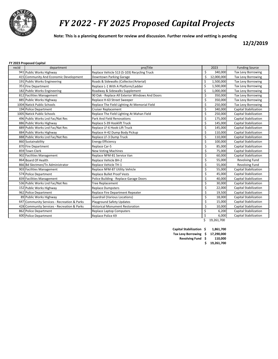

**Note: This is a planning document for review and discussion. Further review and vetting is pending**

**12/2/2019**

#### **FY 2023 Proposed Capital**

| recid | department                                  | projTitle                                       | 2023             | <b>Funding Source</b>        |
|-------|---------------------------------------------|-------------------------------------------------|------------------|------------------------------|
|       | 941 Public Works Highway                    | Replace Vehicle 513 (S-103) Recycling Truck     | \$<br>340,000    | <b>Tax Levy Borrowing</b>    |
|       | 415 Community And Economic Development      | Downtown Parking Garage                         | \$<br>12,000,000 | <b>Tax Levy Borrowing</b>    |
|       | 191 Public Works Engineering                | Roads & Sidewalks (Collector/Arterial)          | \$<br>1,500,000  | <b>Tax Levy Borrowing</b>    |
|       | 351 Fire Department                         | Replace L-1 With A Platform/Ladder              | \$<br>1,500,000  | <b>Tax Levy Borrowing</b>    |
|       | 182 Public Works Engineering                | Roadway & Sidewalks Supplement                  | \$<br>1,000,000  | <b>Tax Levy Borrowing</b>    |
|       | 812 Facilities Management                   | 90 Oak - Replace All Exterior Windows And Doors | \$<br>350,000    | <b>Tax Levy Borrowing</b>    |
|       | 885 Public Works Highway                    | Replace H-63 Street Sweeper                     | \$<br>350,000    | <b>Tax Levy Borrowing</b>    |
|       | 1004 Natick Public Schools                  | Replace The Field Lighting At Memorial Field    | \$<br>250,000    | <b>Tax Levy Borrowing</b>    |
|       | 194 Police Department                       | <b>Cruiser Replacement</b>                      | \$<br>340,000    | <b>Capital Stabilization</b> |
|       | 1005 Natick Public Schools                  | Replace The Field Lighting At Mahan Field       | \$<br>250,000    | <b>Capital Stabilization</b> |
|       | 496 Public Works Lnd Fac/Nat Res            | Park And Field Renovations                      | \$<br>175,000    | Capital Stabilization        |
|       | 886 Public Works Highway                    | Replace S-39 Hooklift Truck                     | \$<br>145,000    | <b>Capital Stabilization</b> |
|       | 889 Public Works Lnd Fac/Nat Res            | Replace LF-6 Hook-Lift Truck                    | \$<br>145,000    | <b>Capital Stabilization</b> |
|       | 884 Public Works Highway                    | Replace H-42 Dump Body Pickup                   | \$<br>110,000    | <b>Capital Stabilization</b> |
|       | 888 Public Works Lnd Fac/Nat Res            | Replace LF-3 Dump Truck                         | \$<br>110,000    | <b>Capital Stabilization</b> |
|       | 860 Sustainability                          | <b>Energy Efficiency</b>                        | \$<br>100,000    | <b>Capital Stabilization</b> |
|       | 870 Fire Department                         | Replace Car-5                                   | \$<br>85,000     | <b>Capital Stabilization</b> |
|       | 859 Town Clerk                              | <b>New Voting Machines</b>                      | \$<br>75,000     | <b>Capital Stabilization</b> |
|       | 902 Facilities Management                   | Replace NFM-81 Service Van                      | \$<br>60,000     | <b>Capital Stabilization</b> |
|       | 864 Board Of Health                         | Replace Vehicle BH-2                            | \$<br>55,000     | Revolving Fund               |
|       | 866 Bd Slectmen/Tn Administrator            | Replace Vehicle TH-1                            | \$<br>55,000     | Revolving Fund               |
|       | 903 Facilities Management                   | Replace NFM-87 Utility Vehicle                  | \$<br>55,000     | <b>Capital Stabilization</b> |
|       | 574 Police Department                       | <b>Replace Bullet Proof Vests</b>               | \$<br>45,000     | <b>Capital Stabilization</b> |
|       | 839 Facilities Management                   | Police Building - Replace Garage Doors          | \$<br>40,000     | <b>Capital Stabilization</b> |
|       | 536 Public Works Lnd Fac/Nat Res            | <b>Tree Replacement</b>                         | \$<br>30,000     | <b>Capital Stabilization</b> |
|       | 152 Public Works Highway                    | <b>Replace Dumpsters</b>                        | \$<br>22,000     | <b>Capital Stabilization</b> |
|       | 962 Police Department                       | Replace Fire Department Repeater                | \$<br>19,500     | <b>Capital Stabilization</b> |
|       | 89 Public Works Highway                     | <b>Guardrail (Various Locations)</b>            | \$<br>18,000     | <b>Capital Stabilization</b> |
|       | 647 Community Services - Recreation & Parks | Playground Safety Updates                       | \$<br>15,000     | <b>Capital Stabilization</b> |
|       | 428 Community Services - Recreation & Parks | <b>Historical Monument Restoration</b>          | \$<br>10,000     | <b>Capital Stabilization</b> |
|       | 862 Police Department                       | <b>Replace Laptop Computers</b>                 | \$<br>6,200      | <b>Capital Stabilization</b> |
|       | 600 Police Department                       | Replace Police K9                               | \$<br>6,000      | <b>Capital Stabilization</b> |

\$ 19,261,700

 **Capital Stabilization \$ 1,861,700** 

 **Tax Levy Borrowing \$ 17,290,000 Revolving Fund \$** 

 **\$ 19,261,700**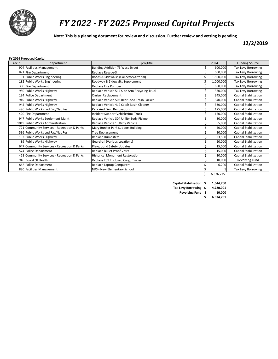

**Note: This is a planning document for review and discussion. Further review and vetting is pending**

**12/2/2019**

#### **FY 2024 Proposed Capital**

| recid | department                                  | projTitle                                    | 2024            | <b>Funding Source</b>        |
|-------|---------------------------------------------|----------------------------------------------|-----------------|------------------------------|
|       | 904 Facilities Management                   | <b>Building Addition 75 West Street</b>      | \$<br>600,000   | Tax Levy Borrowing           |
|       | 871 Fire Department                         | Replace Rescue-3                             | \$<br>600,000   | Tax Levy Borrowing           |
|       | 191 Public Works Engineering                | Roads & Sidewalks (Collector/Arterial)       | \$<br>1,500,000 | Tax Levy Borrowing           |
|       | 182 Public Works Engineering                | Roadway & Sidewalks Supplement               | \$<br>1,000,000 | Tax Levy Borrowing           |
|       | 380 Fire Department                         | Replace Fire Pumper                          | \$<br>650,000   | Tax Levy Borrowing           |
|       | 950 Public Works Highway                    | Replace Vehicle 514 Side Arm Recycling Truck | \$<br>370,000   | Tax Levy Borrowing           |
|       | 194 Police Department                       | <b>Cruiser Replacement</b>                   | \$<br>345,000   | <b>Capital Stabilization</b> |
|       | 949 Public Works Highway                    | Replace Vehicle 503 Rear Load Trash Packer   | \$<br>340,000   | <b>Capital Stabilization</b> |
|       | 945 Public Works Highway                    | Replace Vehicle 412 Catch Basin Cleaner      | \$<br>330,000   | <b>Capital Stabilization</b> |
|       | 496 Public Works Lnd Fac/Nat Res            | Park And Field Renovations                   | \$<br>175,000   | <b>Capital Stabilization</b> |
|       | 420 Fire Department                         | Incident Support Vehicle/Box Truck           | \$<br>150,000   | Capital Stabilization        |
|       | 947 Public Works Equipment Maint            | Replace Vehicle 304 Utility Body Pickup      | \$<br>80,000    | Capital Stabilization        |
|       | 1019 Public Works Administration            | Replace Vehicle 1 Utility Vehicle            | \$<br>55,000    | <b>Capital Stabilization</b> |
|       | 721 Community Services - Recreation & Parks | Mary Bunker Park Support Building            | \$<br>50,000    | Capital Stabilization        |
|       | 536 Public Works Lnd Fac/Nat Res            | Tree Replacement                             | \$<br>30,000    | Capital Stabilization        |
|       | 152 Public Works Highway                    | <b>Replace Dumpsters</b>                     | \$<br>23,500    | Capital Stabilization        |
|       | 89 Public Works Highway                     | <b>Guardrail (Various Locations)</b>         | \$<br>20,000    | Capital Stabilization        |
|       | 647 Community Services - Recreation & Parks | Playground Safety Updates                    | \$<br>15,000    | Capital Stabilization        |
|       | 574 Police Department                       | <b>Replace Bullet Proof Vests</b>            | \$<br>15,000    | <b>Capital Stabilization</b> |
|       | 428 Community Services - Recreation & Parks | <b>Historical Monument Restoration</b>       | \$<br>10,000    | <b>Capital Stabilization</b> |
|       | 946 Board Of Health                         | Replace T39 Enclosed Cargo Trailer           | \$<br>10,000    | Revolving Fund               |
|       | 862 Police Department                       | Replace Laptop Computers                     | 6,200           | Capital Stabilization        |
|       | 880 Facilities Management                   | NPS - New Elementary School                  | \$              | Tax Levy Borrowing           |

 $$ 6,376,725$ 

| <b>Capital Stabilization S</b> | 1,644,700 |
|--------------------------------|-----------|
| Tax Levy Borrowing \$          | 4.720.001 |
| Revolving Fund \$              | 10.000    |

 **\$ 6,374,701**